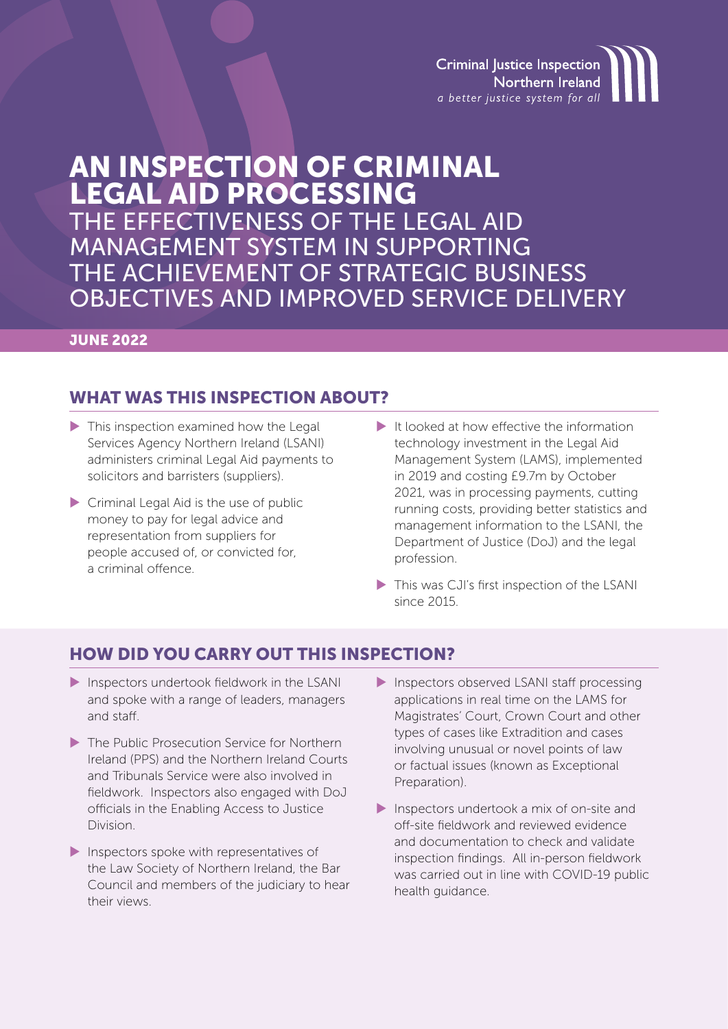**Criminal Justice Inspection** Northern Ireland a better justice system for all

# AN INSPECTION OF CRIMINAL LEGAL AID PROCESSING

THE EFFECTIVENESS OF THE LEGAL AID MANAGEMENT SYSTEM IN SUPPORTING THE ACHIEVEMENT OF STRATEGIC BUSINESS OBJECTIVES AND IMPROVED SERVICE DELIVERY

### **JUNE 2022**

### WHAT WAS THIS INSPECTION ABOUT?

- This inspection examined how the Legal Services Agency Northern Ireland (LSANI) administers criminal Legal Aid payments to solicitors and barristers (suppliers).
- Criminal Legal Aid is the use of public money to pay for legal advice and representation from suppliers for people accused of, or convicted for, a criminal offence.
- $\blacktriangleright$  It looked at how effective the information technology investment in the Legal Aid Management System (LAMS), implemented in 2019 and costing £9.7m by October 2021, was in processing payments, cutting running costs, providing better statistics and management information to the LSANI, the Department of Justice (DoJ) and the legal profession.
- This was CJI's first inspection of the LSANI since 2015.

### HOW DID YOU CARRY OUT THIS INSPECTION?

- Inspectors undertook fieldwork in the LSANI and spoke with a range of leaders, managers and staff.
- ▶ The Public Prosecution Service for Northern Ireland (PPS) and the Northern Ireland Courts and Tribunals Service were also involved in fieldwork. Inspectors also engaged with DoJ officials in the Enabling Access to Justice Division.
- Inspectors spoke with representatives of the Law Society of Northern Ireland, the Bar Council and members of the judiciary to hear their views.
- Inspectors observed LSANI staff processing applications in real time on the LAMS for Magistrates' Court, Crown Court and other types of cases like Extradition and cases involving unusual or novel points of law or factual issues (known as Exceptional Preparation).
- Inspectors undertook a mix of on-site and off-site fieldwork and reviewed evidence and documentation to check and validate inspection findings. All in-person fieldwork was carried out in line with COVID-19 public health guidance.